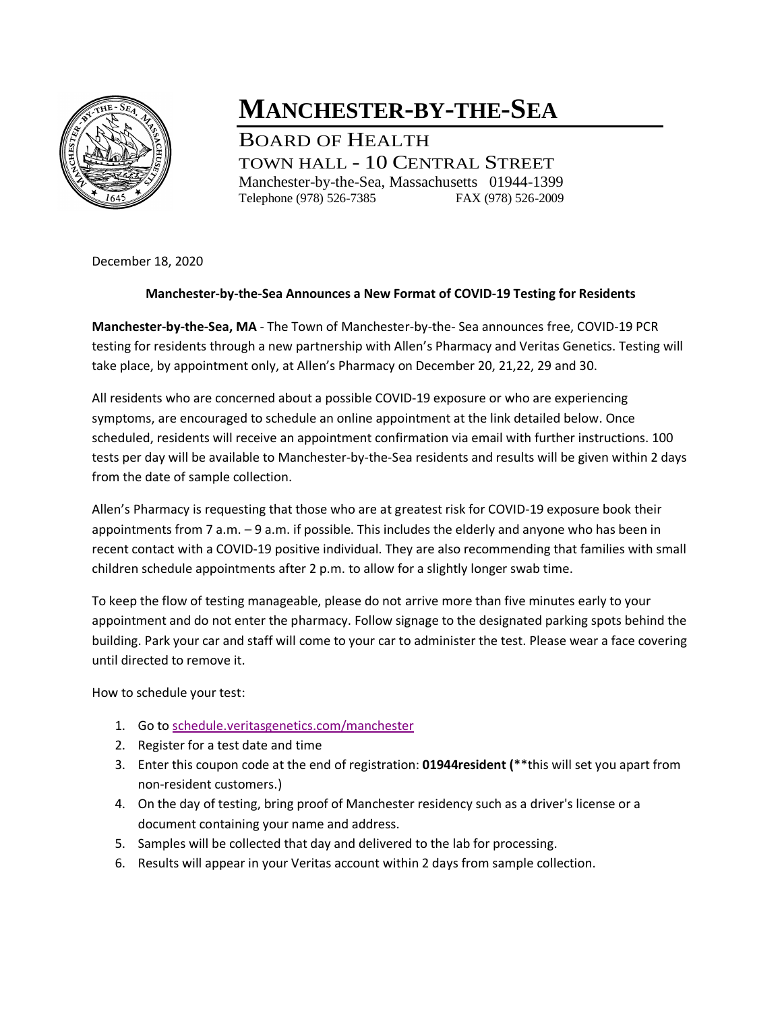

## **MANCHESTER-BY-THE-SEA**

BOARD OF HEALTH TOWN HALL - 10 CENTRAL STREET Manchester-by-the-Sea, Massachusetts 01944-1399 Telephone (978) 526-7385 FAX (978) 526-2009

December 18, 2020

## **Manchester-by-the-Sea Announces a New Format of COVID-19 Testing for Residents**

**Manchester-by-the-Sea, MA** - The Town of Manchester-by-the- Sea announces free, COVID-19 PCR testing for residents through a new partnership with Allen's Pharmacy and Veritas Genetics. Testing will take place, by appointment only, at Allen's Pharmacy on December 20, 21,22, 29 and 30.

All residents who are concerned about a possible COVID-19 exposure or who are experiencing symptoms, are encouraged to schedule an online appointment at the link detailed below. Once scheduled, residents will receive an appointment confirmation via email with further instructions. 100 tests per day will be available to Manchester-by-the-Sea residents and results will be given within 2 days from the date of sample collection.

Allen's Pharmacy is requesting that those who are at greatest risk for COVID-19 exposure book their appointments from 7 a.m. – 9 a.m. if possible. This includes the elderly and anyone who has been in recent contact with a COVID-19 positive individual. They are also recommending that families with small children schedule appointments after 2 p.m. to allow for a slightly longer swab time.

To keep the flow of testing manageable, please do not arrive more than five minutes early to your appointment and do not enter the pharmacy. Follow signage to the designated parking spots behind the building. Park your car and staff will come to your car to administer the test. Please wear a face covering until directed to remove it.

How to schedule your test:

- 1. Go to [schedule.veritasgenetics.com/manchester](https://schedule.veritasgenetics.com/manchester/)
- 2. Register for a test date and time
- 3. Enter this coupon code at the end of registration: **01944resident (**\*\*this will set you apart from non-resident customers.)
- 4. On the day of testing, bring proof of Manchester residency such as a driver's license or a document containing your name and address.
- 5. Samples will be collected that day and delivered to the lab for processing.
- 6. Results will appear in your Veritas account within 2 days from sample collection.